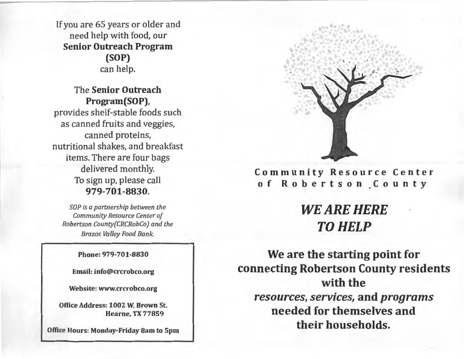If you are 65 years or older and need help with food, our **Senior Outreach Program (SOP)**  can help.

The **Senior Outreach Program(SOP),**  provides shelf-stable foods such as canned fruits and veggies, canned proteins, nutritional shakes, and breakfast items. There are four bags delivered monthly. To sign up, please call **979-701-8830.** 

*SOP is a partnership between the Community Resource Center of Robertson County(CRCRobCo) and the Brazos Valley Food Bank.* 

**Phone: 979-701-8830** 

**Email: info@crcrobco.org** 

**Website: www.crcrobco.org** 

**Office Address: 1002 W. Brown St. Hearne, TX 77859** 

**Office Hours: Monday-Friday 8am to 5pm** 



**Community Resource Center of Robertson County** 

# **WEARE HERE TO HELP**

**We are the starting point for connecting Robertson County residents with the**  *resources, services,* **and** *programs*  **needed for themselves and their households.**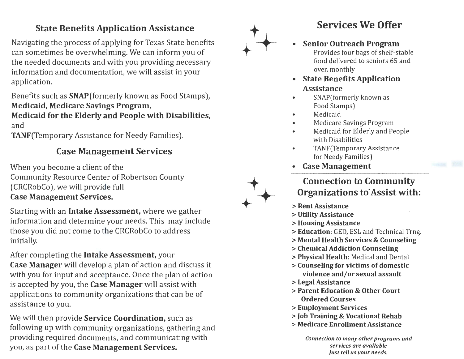### **State Benefits Application Assistance**

Navigating the process of applying for Texas State benefits can sometimes be overwhelming. We can inform you of the needed documents and with you providing necessary information and documentation, we will assist in your application.

Benefits such as **SNAP(formerly** known as Food Stamps), **Medicaid, Medicare Savings Program, Medicaid for the Elderly and People with Disabilities,**  and

TANF(Temporary Assistance for Needy Families).

## **Case Management Services**

When you become a client of the Community Resource Center of Robertson County (CRCRobCo), we will provide full **Case Management Services.** 

Starting with an **Intake Assessment,** where we gather information and determine your needs. This may include those you did not come to the CRCRobCo to address initially.

After completing the **Intake Assessment,** your **Case Manager** will develop a plan of action and discuss it with you for input and acceptance. Once the plan of action is accepted by you, the **Case Manager** will assist with applications to community organizations that can be of assistance to you.

We will then provide **Service Coordination,** such as following up with community organizations, gathering and providing required documents, and communicating with you, as part of the **Case Management Services.** 

**Services We Offer** 

- **Senior Outreach Program**  Provides four bags of shelf-stable food delivered to seniors 65 and over, monthly
- **State Benefits Application Assistance**
- SNAP(formerly known as Food Stamps)
- Medicaid

+:

 $+$ 

 $+$ 

- Medicare Savings Program
- Medicaid for Elderly and People with Disabilities
- TANF(Temporary Assistance for Needy Families)
- **Case Management**

### **Connection to Community Organizations to·Assist with:**

- > **Rent Assistance**
- <sup>&</sup>gt;**Utility Assistance**
- <sup>&</sup>gt;**Housing Assistance**
- <sup>&</sup>gt;**Education:** GED, ESL and Technical Trng.
- <sup>&</sup>gt;**Mental Health Services** & **Counseling**
- <sup>&</sup>gt;**Chemical Addiction Counseling**
- <sup>&</sup>gt;**Physical Health:** Medical and Dental
- <sup>&</sup>gt;**Counseling for victims of domestic violence and/ or sexual assault**
- <sup>&</sup>gt;**Legal Assistance**
- > **Parent Education** & **Other Court Ordered Courses**
- <sup>&</sup>gt;**Employment Services**
- <sup>&</sup>gt;**Job Training** & **Vocational Rehab**
- > **Medicare Enrollment Assistance**

*Connection to many other programs and services are available lust tell us vour needs.*